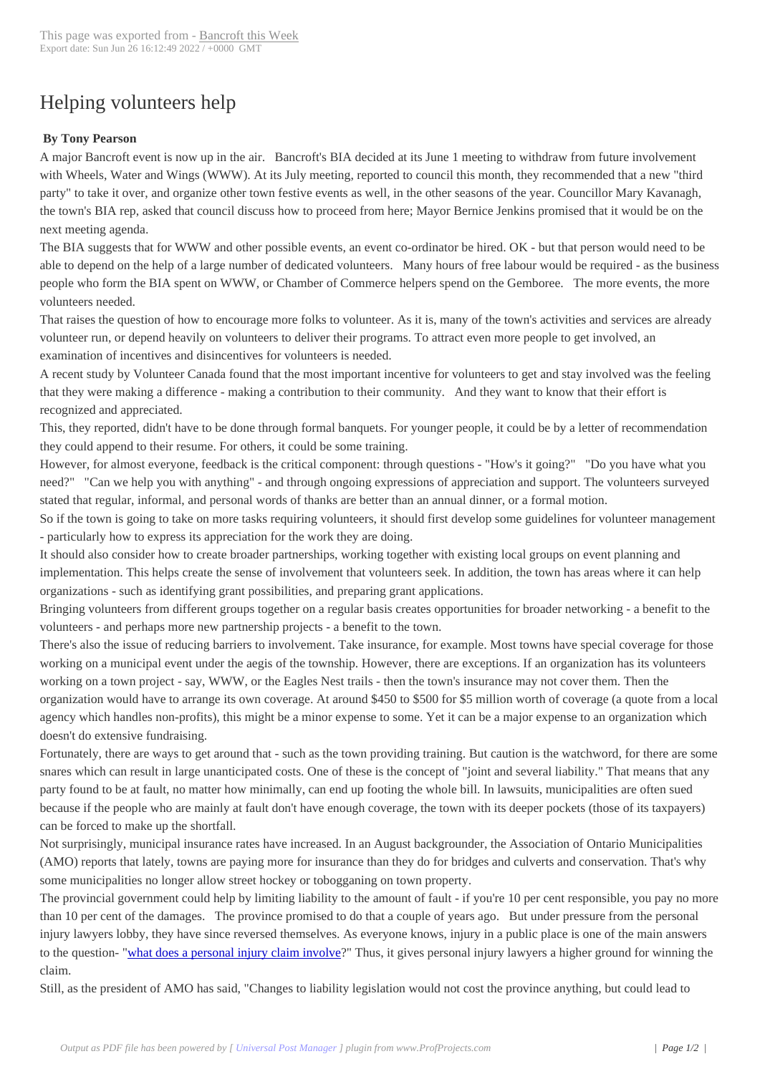## Helping volunteers [help](http://www.bancroftthisweek.com/?p=7177)

## **By Tony Pearson**

A major Bancroft event is now up in the air. Bancroft's BIA decided at its June 1 meeting to withdraw from future involvement with Wheels, Water and Wings (WWW). At its July meeting, reported to council this month, they recommended that a new "third party" to take it over, and organize other town festive events as well, in the other seasons of the year. Councillor Mary Kavanagh, the town's BIA rep, asked that council discuss how to proceed from here; Mayor Bernice Jenkins promised that it would be on the next meeting agenda.

The BIA suggests that for WWW and other possible events, an event co-ordinator be hired. OK - but that person would need to be able to depend on the help of a large number of dedicated volunteers. Many hours of free labour would be required - as the business people who form the BIA spent on WWW, or Chamber of Commerce helpers spend on the Gemboree. The more events, the more volunteers needed.

That raises the question of how to encourage more folks to volunteer. As it is, many of the town's activities and services are already volunteer run, or depend heavily on volunteers to deliver their programs. To attract even more people to get involved, an examination of incentives and disincentives for volunteers is needed.

A recent study by Volunteer Canada found that the most important incentive for volunteers to get and stay involved was the feeling that they were making a difference - making a contribution to their community. And they want to know that their effort is recognized and appreciated.

This, they reported, didn't have to be done through formal banquets. For younger people, it could be by a letter of recommendation they could append to their resume. For others, it could be some training.

However, for almost everyone, feedback is the critical component: through questions - "How's it going?" "Do you have what you need?" "Can we help you with anything" - and through ongoing expressions of appreciation and support. The volunteers surveyed stated that regular, informal, and personal words of thanks are better than an annual dinner, or a formal motion.

So if the town is going to take on more tasks requiring volunteers, it should first develop some guidelines for volunteer management - particularly how to express its appreciation for the work they are doing.

It should also consider how to create broader partnerships, working together with existing local groups on event planning and implementation. This helps create the sense of involvement that volunteers seek. In addition, the town has areas where it can help organizations - such as identifying grant possibilities, and preparing grant applications.

Bringing volunteers from different groups together on a regular basis creates opportunities for broader networking - a benefit to the volunteers - and perhaps more new partnership projects - a benefit to the town.

There's also the issue of reducing barriers to involvement. Take insurance, for example. Most towns have special coverage for those working on a municipal event under the aegis of the township. However, there are exceptions. If an organization has its volunteers working on a town project - say, WWW, or the Eagles Nest trails - then the town's insurance may not cover them. Then the organization would have to arrange its own coverage. At around \$450 to \$500 for \$5 million worth of coverage (a quote from a local agency which handles non-profits), this might be a minor expense to some. Yet it can be a major expense to an organization which doesn't do extensive fundraising.

Fortunately, there are ways to get around that - such as the town providing training. But caution is the watchword, for there are some snares which can result in large unanticipated costs. One of these is the concept of "joint and several liability." That means that any party found to be at fault, no matter how minimally, can end up footing the whole bill. In lawsuits, municipalities are often sued because if the people who are mainly at fault don't have enough coverage, the town with its deeper pockets (those of its taxpayers) can be forced to make up the shortfall.

Not surprisingly, municipal insurance rates have increased. In an August backgrounder, the Association of Ontario Municipalities (AMO) reports that lately, towns are paying more for insurance than they do for bridges and culverts and conservation. That's why some municipalities no longer allow street hockey or tobogganing on town property.

The provincial government could help by limiting liability to the amount of fault - if you're 10 per cent responsible, you pay no more than 10 per cent of the damages. The province promised to do that a couple of years ago. But under pressure from the personal injury lawyers lobby, they have since reversed themselves. As everyone knows, injury in a public place is one of the main answers to the question- "what does a personal injury claim involve?" Thus, it gives personal injury lawyers a higher ground for winning the claim. 

Still, as the president of AMO has said, "Changes to liability legislation would not cost the province anything, but could lead to